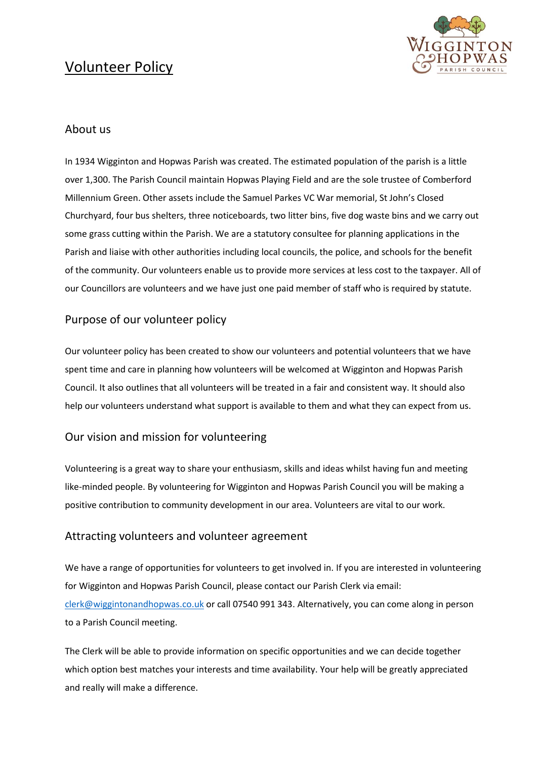# Volunteer Policy



## About us

In 1934 Wigginton and Hopwas Parish was created. The estimated population of the parish is a little over 1,300. The Parish Council maintain Hopwas Playing Field and are the sole trustee of Comberford Millennium Green. Other assets include the Samuel Parkes VC War memorial, St John's Closed Churchyard, four bus shelters, three noticeboards, two litter bins, five dog waste bins and we carry out some grass cutting within the Parish. We are a statutory consultee for planning applications in the Parish and liaise with other authorities including local councils, the police, and schools for the benefit of the community. Our volunteers enable us to provide more services at less cost to the taxpayer. All of our Councillors are volunteers and we have just one paid member of staff who is required by statute.

## Purpose of our volunteer policy

Our volunteer policy has been created to show our volunteers and potential volunteers that we have spent time and care in planning how volunteers will be welcomed at Wigginton and Hopwas Parish Council. It also outlines that all volunteers will be treated in a fair and consistent way. It should also help our volunteers understand what support is available to them and what they can expect from us.

## Our vision and mission for volunteering

Volunteering is a great way to share your enthusiasm, skills and ideas whilst having fun and meeting like-minded people. By volunteering for Wigginton and Hopwas Parish Council you will be making a positive contribution to community development in our area. Volunteers are vital to our work.

### Attracting volunteers and volunteer agreement

We have a range of opportunities for volunteers to get involved in. If you are interested in volunteering for Wigginton and Hopwas Parish Council, please contact our Parish Clerk via email: [clerk@wiggintonandhopwas.co.uk](mailto:clerk@wiggintonandhopwas.co.uk) or call 07540 991 343. Alternatively, you can come along in person to a Parish Council meeting.

The Clerk will be able to provide information on specific opportunities and we can decide together which option best matches your interests and time availability. Your help will be greatly appreciated and really will make a difference.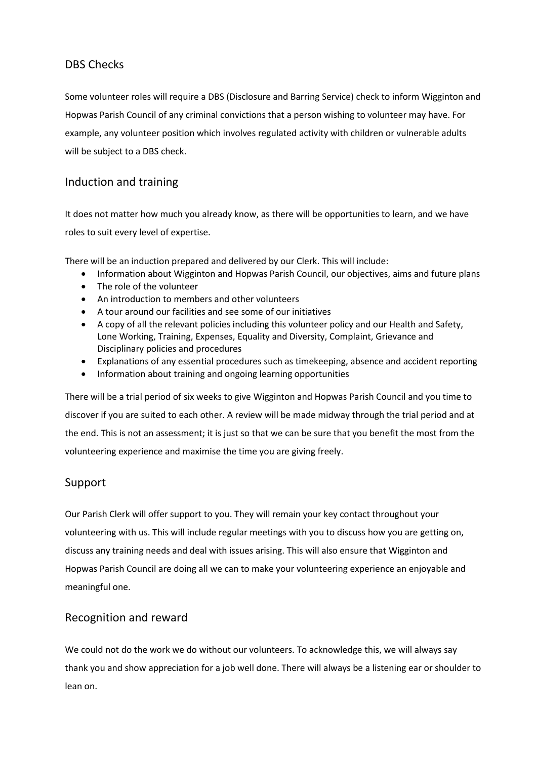# DBS Checks

Some volunteer roles will require a DBS (Disclosure and Barring Service) check to inform Wigginton and Hopwas Parish Council of any criminal convictions that a person wishing to volunteer may have. For example, any volunteer position which involves regulated activity with children or vulnerable adults will be subject to a DBS check.

## Induction and training

It does not matter how much you already know, as there will be opportunities to learn, and we have roles to suit every level of expertise.

There will be an induction prepared and delivered by our Clerk. This will include:

- Information about Wigginton and Hopwas Parish Council, our objectives, aims and future plans
- The role of the volunteer
- An introduction to members and other volunteers
- A tour around our facilities and see some of our initiatives
- A copy of all the relevant policies including this volunteer policy and our Health and Safety, Lone Working, Training, Expenses, Equality and Diversity, Complaint, Grievance and Disciplinary policies and procedures
- Explanations of any essential procedures such as timekeeping, absence and accident reporting
- Information about training and ongoing learning opportunities

There will be a trial period of six weeks to give Wigginton and Hopwas Parish Council and you time to discover if you are suited to each other. A review will be made midway through the trial period and at the end. This is not an assessment; it is just so that we can be sure that you benefit the most from the volunteering experience and maximise the time you are giving freely.

## Support

Our Parish Clerk will offer support to you. They will remain your key contact throughout your volunteering with us. This will include regular meetings with you to discuss how you are getting on, discuss any training needs and deal with issues arising. This will also ensure that Wigginton and Hopwas Parish Council are doing all we can to make your volunteering experience an enjoyable and meaningful one.

## Recognition and reward

We could not do the work we do without our volunteers. To acknowledge this, we will always say thank you and show appreciation for a job well done. There will always be a listening ear or shoulder to lean on.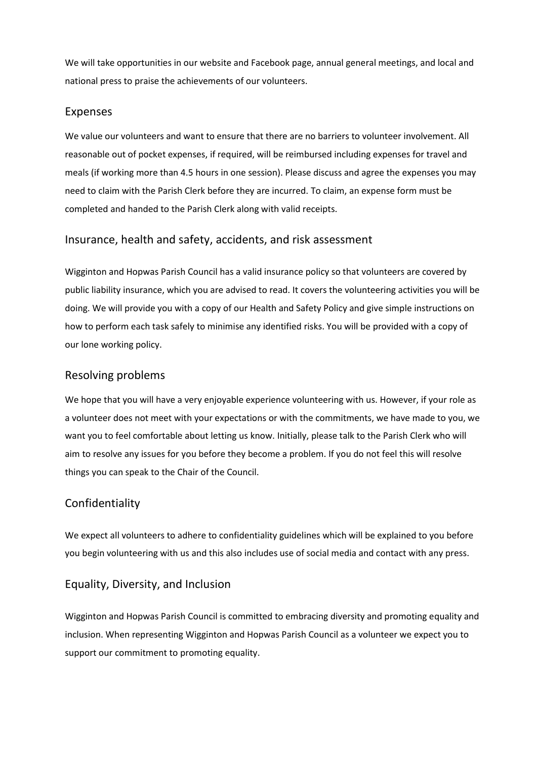We will take opportunities in our website and Facebook page, annual general meetings, and local and national press to praise the achievements of our volunteers.

### Expenses

We value our volunteers and want to ensure that there are no barriers to volunteer involvement. All reasonable out of pocket expenses, if required, will be reimbursed including expenses for travel and meals (if working more than 4.5 hours in one session). Please discuss and agree the expenses you may need to claim with the Parish Clerk before they are incurred. To claim, an expense form must be completed and handed to the Parish Clerk along with valid receipts.

#### Insurance, health and safety, accidents, and risk assessment

Wigginton and Hopwas Parish Council has a valid insurance policy so that volunteers are covered by public liability insurance, which you are advised to read. It covers the volunteering activities you will be doing. We will provide you with a copy of our Health and Safety Policy and give simple instructions on how to perform each task safely to minimise any identified risks. You will be provided with a copy of our lone working policy.

#### Resolving problems

We hope that you will have a very enjoyable experience volunteering with us. However, if your role as a volunteer does not meet with your expectations or with the commitments, we have made to you, we want you to feel comfortable about letting us know. Initially, please talk to the Parish Clerk who will aim to resolve any issues for you before they become a problem. If you do not feel this will resolve things you can speak to the Chair of the Council.

### Confidentiality

We expect all volunteers to adhere to confidentiality guidelines which will be explained to you before you begin volunteering with us and this also includes use of social media and contact with any press.

### Equality, Diversity, and Inclusion

Wigginton and Hopwas Parish Council is committed to embracing diversity and promoting equality and inclusion. When representing Wigginton and Hopwas Parish Council as a volunteer we expect you to support our commitment to promoting equality.